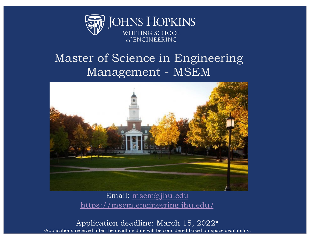

### Master of Science in Engineering Management - MSEM



Email[: msem@jhu.edu](mailto:msem@jhu.edu) [https://msem.engineering.jhu.edu](https://msem.engineering.jhu.edu/)/

Application deadline: March 15, 2022\*<br>Applications received after the deadline date will be considered based on space availability.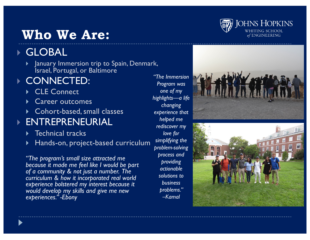# **Who We Are:**



#### } GLOBAL

} January Immersion trip to Spain, Denmark, Israel, Portugal, or Baltimore

#### } CONNECTED:

- ▶ CLE Connect
- **Career outcomes**
- **Cohort-based, small classes**

#### } ENTREPRENEURIAL

- ▶ Technical tracks
- Hands-on, project-based curriculum

*"The program's small size attracted me because it made me feel like I would be part of a community & not just a number. The curriculum & how it incorporated real world experience bolstered my interest because it would develop my skills and give me new experiences." -Ebony*

*"The Immersion Program was one of my highlights—a life changing experience that helped me rediscover my love for simplifying the problem-solving process and providing actionable solutions to business problems." –Kamal*